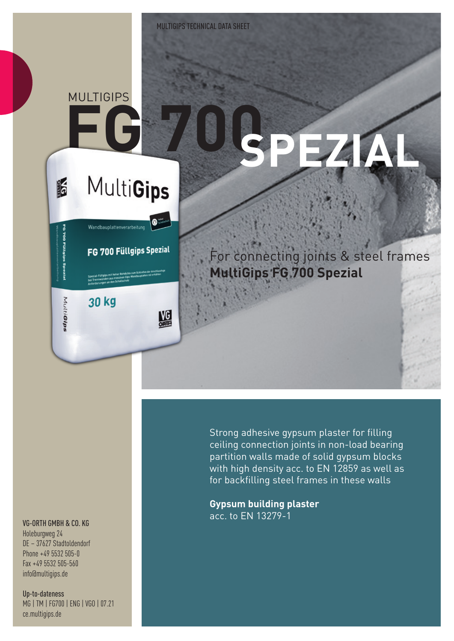### **FG 700 MULTIGIPS**

**IF** 

MultiGips

# **SPEZIAL**

## MultiGips

 $\bullet$ 

盟

FG 700 Füllgips Spezial

Wandbauplattenverarbeitung

30 kg

For connecting joints & steel frames **MultiGips FG 700 Spezial**

#### VG-ORTH GMBH & CO. KG

Holeburgweg 24 DE – 37627 Stadtoldendorf Phone +49 5532 505-0 Fax +49 5532 505-560 info@multigips.de

Up-to-dateness MG | TM | FG700 | ENG | VGO | 07.21 ce.multigips.de

Strong adhesive gypsum plaster for filling ceiling connection joints in non-load bearing partition walls made of solid gypsum blocks with high density acc. to EN 12859 as well as for backfilling steel frames in these walls

**Gypsum building plaster** acc. to EN 13279-1